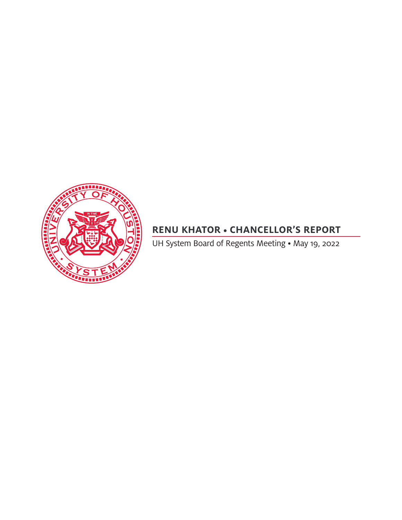

# **RENU KHATOR • CHANCELLOR'S REPORT**

UH System Board of Regents Meeting • May 19, 2022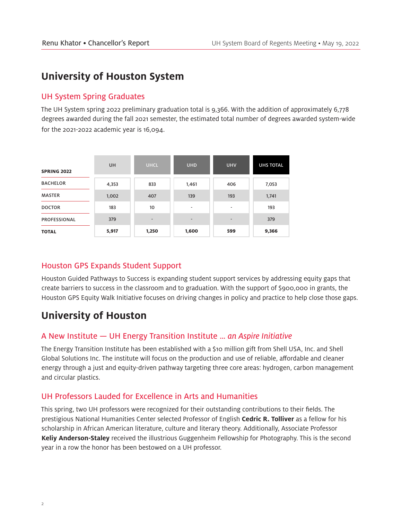## **University of Houston System**

#### UH System Spring Graduates

The UH System spring 2022 preliminary graduation total is 9,366. With the addition of approximately 6,778 degrees awarded during the fall 2021 semester, the estimated total number of degrees awarded system-wide for the 2021-2022 academic year is 16,094.

| <b>SPRING 2022</b>  | UH    | <b>UHCL</b>                  | <b>UHD</b>               | <b>UHV</b>     | <b>UHS TOTAL</b> |
|---------------------|-------|------------------------------|--------------------------|----------------|------------------|
| <b>BACHELOR</b>     | 4,353 | 833                          | 1,461                    | 406            | 7,053            |
| <b>MASTER</b>       | 1,002 | 407                          | 139                      | 193            | 1,741            |
| <b>DOCTOR</b>       | 183   | 10                           | $\overline{\phantom{a}}$ |                | 193              |
| <b>PROFESSIONAL</b> | 379   | $\qquad \qquad \blacksquare$ | $\overline{\phantom{0}}$ | $\overline{a}$ | 379              |
| <b>TOTAL</b>        | 5,917 | 1,250                        | 1,600                    | 599            | 9,366            |

## Houston GPS Expands Student Support

Houston Guided Pathways to Success is expanding student support services by addressing equity gaps that create barriers to success in the classroom and to graduation. With the support of \$900,000 in grants, the Houston GPS Equity Walk Initiative focuses on driving changes in policy and practice to help close those gaps.

## **University of Houston**

## A New Institute — UH Energy Transition Institute … *an Aspire Initiative*

The Energy Transition Institute has been established with a \$10 million gift from Shell USA, Inc. and Shell Global Solutions Inc. The institute will focus on the production and use of reliable, affordable and cleaner energy through a just and equity-driven pathway targeting three core areas: hydrogen, carbon management and circular plastics.

## UH Professors Lauded for Excellence in Arts and Humanities

This spring, two UH professors were recognized for their outstanding contributions to their fields. The prestigious National Humanities Center selected Professor of English **Cedric R. Tolliver** as a fellow for his scholarship in African American literature, culture and literary theory. Additionally, Associate Professor **Keliy Anderson-Staley** received the illustrious Guggenheim Fellowship for Photography. This is the second year in a row the honor has been bestowed on a UH professor.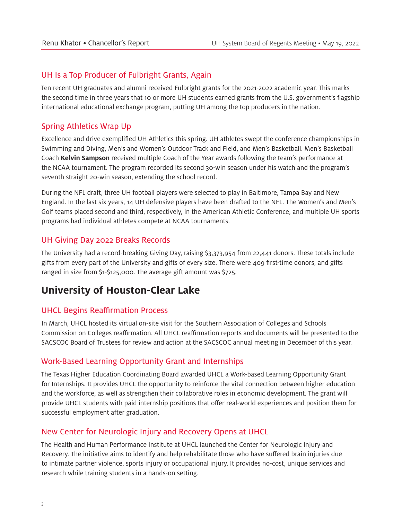#### UH Is a Top Producer of Fulbright Grants, Again

Ten recent UH graduates and alumni received Fulbright grants for the 2021-2022 academic year. This marks the second time in three years that 10 or more UH students earned grants from the U.S. government's flagship international educational exchange program, putting UH among the top producers in the nation.

## Spring Athletics Wrap Up

Excellence and drive exemplified UH Athletics this spring. UH athletes swept the conference championships in Swimming and Diving, Men's and Women's Outdoor Track and Field, and Men's Basketball. Men's Basketball Coach **Kelvin Sampson** received multiple Coach of the Year awards following the team's performance at the NCAA tournament. The program recorded its second 30-win season under his watch and the program's seventh straight 20-win season, extending the school record.

During the NFL draft, three UH football players were selected to play in Baltimore, Tampa Bay and New England. In the last six years, 14 UH defensive players have been drafted to the NFL. The Women's and Men's Golf teams placed second and third, respectively, in the American Athletic Conference, and multiple UH sports programs had individual athletes compete at NCAA tournaments.

## UH Giving Day 2022 Breaks Records

The University had a record-breaking Giving Day, raising \$3,373,954 from 22,441 donors. These totals include gifts from every part of the University and gifts of every size. There were 409 first-time donors, and gifts ranged in size from \$1-\$125,000. The average gift amount was \$725.

# **University of Houston-Clear Lake**

## UHCL Begins Reaffirmation Process

In March, UHCL hosted its virtual on-site visit for the Southern Association of Colleges and Schools Commission on Colleges reaffirmation. All UHCL reaffirmation reports and documents will be presented to the SACSCOC Board of Trustees for review and action at the SACSCOC annual meeting in December of this year.

## Work-Based Learning Opportunity Grant and Internships

The Texas Higher Education Coordinating Board awarded UHCL a Work-based Learning Opportunity Grant for Internships. It provides UHCL the opportunity to reinforce the vital connection between higher education and the workforce, as well as strengthen their collaborative roles in economic development. The grant will provide UHCL students with paid internship positions that offer real-world experiences and position them for successful employment after graduation.

## New Center for Neurologic Injury and Recovery Opens at UHCL

The Health and Human Performance Institute at UHCL launched the Center for Neurologic Injury and Recovery. The initiative aims to identify and help rehabilitate those who have suffered brain injuries due to intimate partner violence, sports injury or occupational injury. It provides no-cost, unique services and research while training students in a hands-on setting.